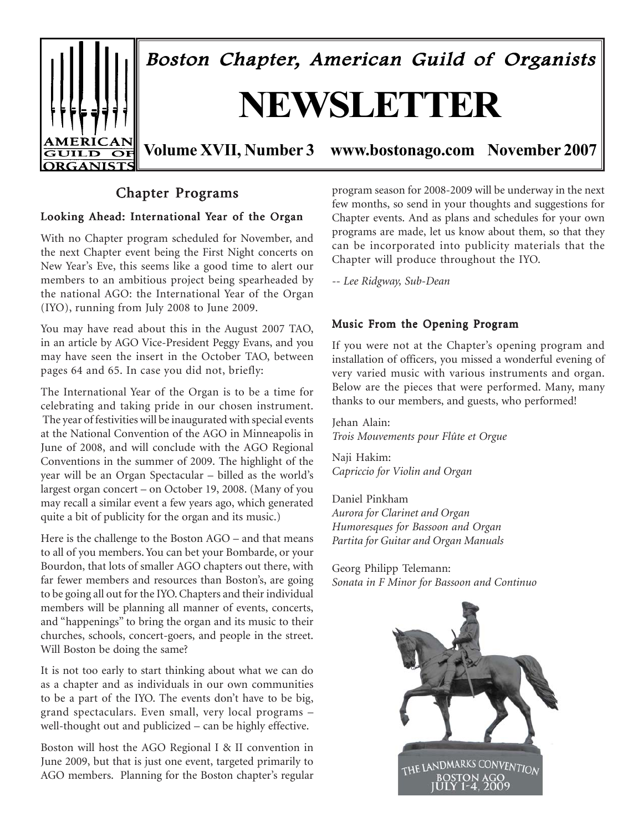

# Chapter Programs

#### Looking Ahead: International Year of the Organ

With no Chapter program scheduled for November, and the next Chapter event being the First Night concerts on New Year's Eve, this seems like a good time to alert our members to an ambitious project being spearheaded by the national AGO: the International Year of the Organ (IYO), running from July 2008 to June 2009.

You may have read about this in the August 2007 TAO, in an article by AGO Vice-President Peggy Evans, and you may have seen the insert in the October TAO, between pages 64 and 65. In case you did not, briefly:

The International Year of the Organ is to be a time for celebrating and taking pride in our chosen instrument. The year of festivities will be inaugurated with special events at the National Convention of the AGO in Minneapolis in June of 2008, and will conclude with the AGO Regional Conventions in the summer of 2009. The highlight of the year will be an Organ Spectacular – billed as the world's largest organ concert – on October 19, 2008. (Many of you may recall a similar event a few years ago, which generated quite a bit of publicity for the organ and its music.)

Here is the challenge to the Boston AGO – and that means to all of you members. You can bet your Bombarde, or your Bourdon, that lots of smaller AGO chapters out there, with far fewer members and resources than Boston's, are going to be going all out for the IYO. Chapters and their individual members will be planning all manner of events, concerts, and "happenings" to bring the organ and its music to their churches, schools, concert-goers, and people in the street. Will Boston be doing the same?

It is not too early to start thinking about what we can do as a chapter and as individuals in our own communities to be a part of the IYO. The events don't have to be big, grand spectaculars. Even small, very local programs – well-thought out and publicized – can be highly effective.

Boston will host the AGO Regional I & II convention in June 2009, but that is just one event, targeted primarily to AGO members. Planning for the Boston chapter's regular program season for 2008-2009 will be underway in the next few months, so send in your thoughts and suggestions for Chapter events. And as plans and schedules for your own programs are made, let us know about them, so that they can be incorporated into publicity materials that the Chapter will produce throughout the IYO.

*-- Lee Ridgway, Sub-Dean*

#### Music From the Opening Program

If you were not at the Chapter's opening program and installation of officers, you missed a wonderful evening of very varied music with various instruments and organ. Below are the pieces that were performed. Many, many thanks to our members, and guests, who performed!

Jehan Alain: *Trois Mouvements pour Flûte et Orgue*

Naji Hakim: *Capriccio for Violin and Organ*

Daniel Pinkham *Aurora for Clarinet and Organ Humoresques for Bassoon and Organ Partita for Guitar and Organ Manuals*

Georg Philipp Telemann: *Sonata in F Minor for Bassoon and Continuo*

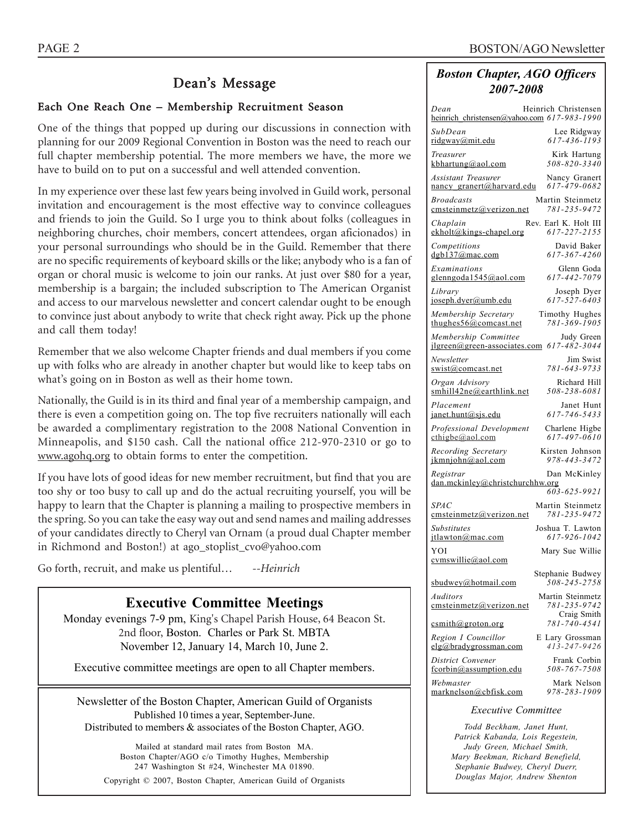# Dean's Message

## Each One Reach One – Membership Recruitment Season

One of the things that popped up during our discussions in connection with planning for our 2009 Regional Convention in Boston was the need to reach our full chapter membership potential. The more members we have, the more we have to build on to put on a successful and well attended convention.

In my experience over these last few years being involved in Guild work, personal invitation and encouragement is the most effective way to convince colleagues and friends to join the Guild. So I urge you to think about folks (colleagues in neighboring churches, choir members, concert attendees, organ aficionados) in your personal surroundings who should be in the Guild. Remember that there are no specific requirements of keyboard skills or the like; anybody who is a fan of organ or choral music is welcome to join our ranks. At just over \$80 for a year, membership is a bargain; the included subscription to The American Organist and access to our marvelous newsletter and concert calendar ought to be enough to convince just about anybody to write that check right away. Pick up the phone and call them today!

Remember that we also welcome Chapter friends and dual members if you come up with folks who are already in another chapter but would like to keep tabs on what's going on in Boston as well as their home town.

Nationally, the Guild is in its third and final year of a membership campaign, and there is even a competition going on. The top five recruiters nationally will each be awarded a complimentary registration to the 2008 National Convention in Minneapolis, and \$150 cash. Call the national office 212-970-2310 or go to www.agohq.org to obtain forms to enter the competition.

If you have lots of good ideas for new member recruitment, but find that you are too shy or too busy to call up and do the actual recruiting yourself, you will be happy to learn that the Chapter is planning a mailing to prospective members in the spring. So you can take the easy way out and send names and mailing addresses of your candidates directly to Cheryl van Ornam (a proud dual Chapter member in Richmond and Boston!) at ago\_stoplist\_cvo@yahoo.com

Go forth, recruit, and make us plentiful… *--Heinrich*

## **Executive Committee Meetings**

Monday evenings 7-9 pm, King's Chapel Parish House, 64 Beacon St. 2nd floor, Boston. Charles or Park St. MBTA November 12, January 14, March 10, June 2.

Executive committee meetings are open to all Chapter members.

Newsletter of the Boston Chapter, American Guild of Organists Published 10 times a year, September-June. Distributed to members & associates of the Boston Chapter, AGO.

Mailed at standard mail rates from Boston MA. Boston Chapter/AGO c/o Timothy Hughes, Membership 247 Washington St #24, Winchester MA 01890. Copyright © 2007, Boston Chapter, American Guild of Organists

## *Boston Chapter, AGO Officers 2007-2008*

| Heinrich Christensen<br>Dean<br>heinrich christensen@yahoo.com 617-983-1990                 |
|---------------------------------------------------------------------------------------------|
| SubDean<br>Lee Ridgway<br>$617 - 436 - 1193$<br>ridgway@mit.edu                             |
| Kirk Hartung<br>Treasurer<br>$508 - 820 - 3340$<br>kbhartung@aol.com                        |
| <b>Assistant Treasurer</b><br>Nancy Granert<br>617-479-0682<br>nancy granert@harvard.edu    |
| <b>Broadcasts</b><br>Martin Steinmetz<br>cmsteinmetz@verizon.net<br>781-235-9472            |
| Rev. Earl K. Holt III<br>Chaplain<br>617-227-2155<br>ekholt@kings-chapel.org                |
| David Baker<br>Competitions<br>617-367-4260<br>dgb137@mac.com                               |
| Glenn Goda<br>Examinations<br>617-442-7079<br>glenngoda1545@aol.com                         |
| Library<br>Joseph Dyer<br>$617 - 527 - 6403$<br>joseph.dyer@umb.edu                         |
| Membership Secretary<br>Timothy Hughes<br>781-369-1905<br>thughes $56@$ comcast.net         |
| Membership Committee<br>Judy Green<br>617-482-3044<br>$ilgreen(\omega$ green-associates.com |
| Newsletter<br>Jim Swist<br>781-643-9733<br>swist@comcast.net                                |
| Richard Hill<br>Organ Advisory<br>smhill42ne@earthlink.net<br>508-238-6081                  |
| Placement<br>Janet Hunt<br>617-746-5433<br>janet.hunt@sjs.edu                               |
| Professional Development<br>Charlene Higbe<br>617-497-0610<br>$\text{cthigbe}(a)$ aol.com   |
| Recording Secretary<br>Kirsten Johnson<br>978-443-3472<br>ikmniohn@aol.com                  |
| Registrar<br>Dan McKinley<br>dan.mckinley@christchurchhw.org<br>$603 - 625 - 9921$          |
| <i>SPAC</i><br>Martin Steinmetz<br>781-235-9472<br>emsteinmetz@verizon.net                  |
| Joshua T. Lawton<br><b>Substitutes</b><br>617-926-1042<br>itlawton@mac.com                  |
| YOI<br>Mary Sue Willie<br>cymswillie@aol.com                                                |
| Stephanie Budwey<br>508-245-2758<br>sbudwey@hotmail.com                                     |
| Martin Steinmetz<br>Auditors<br>781-235-9742<br>emsteinmetz@verizon.net                     |
| Craig Smith<br>781-740-4541<br>csmith@groton.org                                            |
| Region I Councillor<br>E Lary Grossman<br>413-247-9426<br>elg@bradygrossman.com             |
| District Convener<br>Frank Corbin<br>508-767-7508<br>fcorbin@assumption.edu                 |
| Webmaster<br>Mark Nelson<br>978-283-1909<br>marknelson@cbfisk.com                           |
| <b>Executive Committee</b>                                                                  |

*Todd Beckham, Janet Hunt, Patrick Kabanda, Lois Regestein, Judy Green, Michael Smith, Mary Beekman, Richard Benefield, Stephanie Budwey, Cheryl Duerr, Douglas Major, Andrew Shenton*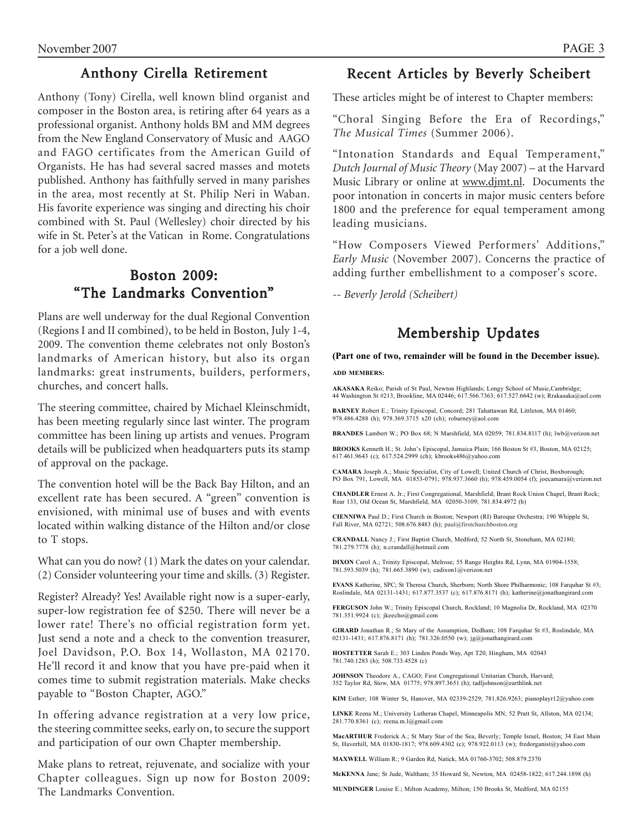## Anthony Cirella Retirement

Anthony (Tony) Cirella, well known blind organist and composer in the Boston area, is retiring after 64 years as a professional organist. Anthony holds BM and MM degrees from the New England Conservatory of Music and AAGO and FAGO certificates from the American Guild of Organists. He has had several sacred masses and motets published. Anthony has faithfully served in many parishes in the area, most recently at St. Philip Neri in Waban. His favorite experience was singing and directing his choir combined with St. Paul (Wellesley) choir directed by his wife in St. Peter's at the Vatican in Rome. Congratulations for a job well done.

# **Boston 2009:** "The Landmarks Convention"

Plans are well underway for the dual Regional Convention (Regions I and II combined), to be held in Boston, July 1-4, 2009. The convention theme celebrates not only Boston's landmarks of American history, but also its organ landmarks: great instruments, builders, performers, churches, and concert halls.

The steering committee, chaired by Michael Kleinschmidt, has been meeting regularly since last winter. The program committee has been lining up artists and venues. Program details will be publicized when headquarters puts its stamp of approval on the package.

The convention hotel will be the Back Bay Hilton, and an excellent rate has been secured. A "green" convention is envisioned, with minimal use of buses and with events located within walking distance of the Hilton and/or close to T stops.

What can you do now? (1) Mark the dates on your calendar. (2) Consider volunteering your time and skills. (3) Register.

Register? Already? Yes! Available right now is a super-early, super-low registration fee of \$250. There will never be a lower rate! There's no official registration form yet. Just send a note and a check to the convention treasurer, Joel Davidson, P.O. Box 14, Wollaston, MA 02170. He'll record it and know that you have pre-paid when it comes time to submit registration materials. Make checks payable to "Boston Chapter, AGO."

In offering advance registration at a very low price, the steering committee seeks, early on, to secure the support and participation of our own Chapter membership.

Make plans to retreat, rejuvenate, and socialize with your Chapter colleagues. Sign up now for Boston 2009: The Landmarks Convention.

# Recent Articles by Beverly Scheibert

These articles might be of interest to Chapter members:

"Choral Singing Before the Era of Recordings," *The Musical Times* (Summer 2006).

"Intonation Standards and Equal Temperament," *Dutch Journal of Music Theory* (May 2007) – at the Harvard Music Library or online at www.djmt.nl. Documents the poor intonation in concerts in major music centers before 1800 and the preference for equal temperament among leading musicians.

"How Composers Viewed Performers' Additions," *Early Music* (November 2007). Concerns the practice of adding further embellishment to a composer's score.

*-- Beverly Jerold (Scheibert)*

# Membership Updates

#### **(Part one of two, remainder will be found in the December issue). ADD MEMBERS:**

**AKASAKA** Reiko; Parish of St Paul, Newton Highlands; Longy School of Music,Cambridge; 44 Washington St #213, Brookline, MA 02446; 617.566.7363; 617.527.6642 (w); Rrakasaka@aol.com

**BARNEY** Robert E.; Trinity Episcopal, Concord; 281 Tahattawan Rd, Littleton, MA 01460; 978.486.4288 (h); 978.369.3715 x20 (ch); robarney@aol.com

**BRANDES** Lambert W.; PO Box 68; N Marshfield, MA 02059; 781.834.8117 (h); lwb@verizon.net

**BROOKS** Kenneth H.; St. John's Episcopal, Jamaica Plain; 166 Boston St #3, Boston, MA 02125; 617.461.9643 (c); 617.524.2999 (ch); kbrooks486@yahoo.com

**CAMARA** Joseph A.; Music Specialist, City of Lowell; United Church of Christ, Boxborough; PO Box 791, Lowell, MA 01853-0791; 978.937.3660 (h); 978.459.0054 (f); joecamara@verizon.net

**CHANDLER** Ernest A. Jr.; First Congregational, Marshfield; Brant Rock Union Chapel, Brant Rock; Rear 133, Old Ocean St, Marshfield, MA 02050-3109; 781.834.4972 (h)

**CIENNIWA** Paul D.; First Church in Boston; Newport (RI) Baroque Orchestra; 190 Whipple St, Fall River, MA 02721; 508.676.8483 (h); paul@firstchurchboston.org

**CRANDALL** Nancy J.; First Baptist Church, Medford; 52 North St, Stoneham, MA 02180; 781.279.7778 (h); n.crandall@hotmail.com

**DIXON** Carol A.; Trinity Episcopal, Melrose; 55 Range Heights Rd, Lynn, MA 01904-1558; 781.593.5039 (h); 781.665.3890 (w); cadixon1@verizon.net

**EVANS** Katherine, SPC; St Theresa Church, Sherborn; North Shore Philharmonic; 108 Farquhar St #3; Roslindale, MA 02131-1431; 617.877.3537 (c); 617.876.8171 (h); katherine@jonathangirard.com

**FERGUSON** John W.; Trinity Episcopal Church, Rockland; 10 Magnolia Dr, Rockland, MA 02370 781.351.9924 (c); jkeecho@gmail.com

**GIRARD** Jonathan R.; St Mary of the Assumption, Dedham; 108 Farquhar St #3, Roslindale, MA 02131-1431; 617.876.8171 (h); 781.326.0550 (w); jg@jonathangirard.com

**HOSTETTER** Sarah E.; 303 Linden Ponds Way, Apt T20, Hingham, MA 02043 781.740.1283 (h); 508.733.4528 (c)

**JOHNSON** Theodore A., CAGO; First Congregational Unitarian Church, Harvard; 352 Taylor Rd, Stow, MA 01775; 978.897.3651 (h); tadljohnson@earthlink.net

**KIM** Esther; 108 Winter St, Hanover, MA 02339-2529; 781.826.9263; pianoplayr12@yahoo.com

**LINKE** Reena M.; University Lutheran Chapel, Minneapolis MN; 52 Pratt St, Allston, MA 02134; 281.770.8361 (c); reena.m.l@gmail.com

**MacARTHUR** Frederick A : St Mary Star of the Sea, Beverly: Temple Israel, Boston; 34 East Main St, Haverhill, MA 01830-1817; 978.609.4302 (c); 978.922.0113 (w); fredorganist@yahoo.com

**MAXWELL** William R.; 9 Garden Rd, Natick, MA 01760-3702; 508.879.2370

**McKENNA** Jane; St Jude, Waltham; 35 Howard St, Newton, MA 02458-1822; 617.244.1898 (h)

**MUNDINGER** Louise E.; Milton Academy, Milton; 150 Brooks St, Medford, MA 02155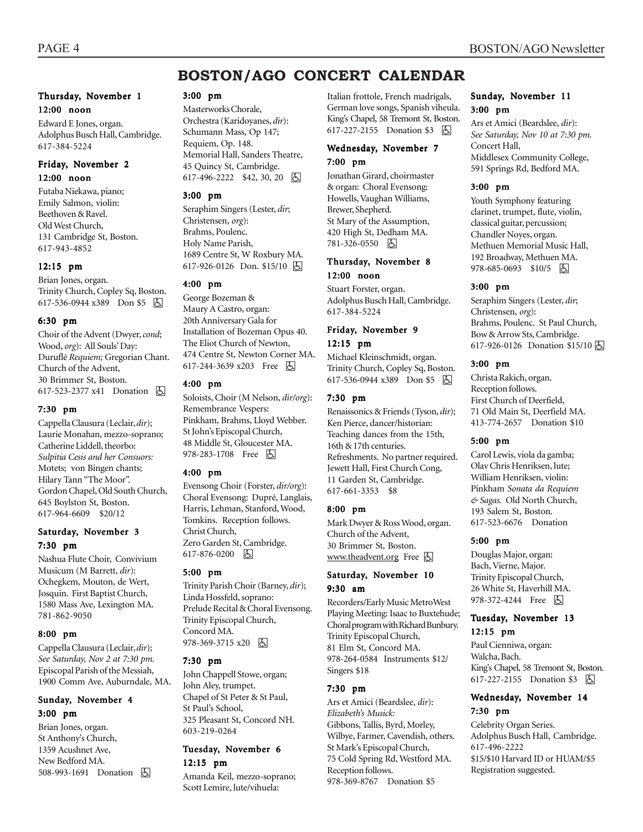# **BOSTON/AGO CONCERT CALENDAR**

#### Thursday, November 1 12:00 noon

Edward E Jones, organ. Adolphus Busch Hall, Cambridge. 617-384-5224

#### Friday, November 2 12:00 noon

Futaba Niekawa, piano; Emily Salmon, violin: Beethoven & Ravel. Old West Church, 131 Cambridge St, Boston. 617-943-4852

#### 12:15 pm

Brian Jones, organ. Trinity Church, Copley Sq, Boston. 617-536-0944 x389 Don \$5 因

#### 6:30 pm

Choir of the Advent (Dwyer, *cond*; Wood, *org*): All Souls' Day: Duruflé *Requiem;* Gregorian Chant. Church of the Advent, 30 Brimmer St, Boston. 617-523-2377 x41 Donation **A** 

#### 7:30 pm

Cappella Clausura (Leclair, *dir*); Laurie Monahan, mezzo-soprano; Catherine Liddell, theorbo: *Sulpitia Cesis and her Consuors:* Motets; von Bingen chants; Hilary Tann "The Moor". Gordon Chapel, Old South Church, 645 Boylston St, Boston. 617-964-6609 \$20/12

#### Saturday, November 3 7:30 pm

Nashua Flute Choir, Convivium Musicum (M Barrett, *dir*): Ochegkem, Mouton, de Wert, Josquin. First Baptist Church, 1580 Mass Ave, Lexington MA. 781-862-9050

#### 8:00 pm

Cappella Clausura (Leclair, *dir*); *See Saturday, Nov 2 at 7:30 pm.* Episcopal Parish of the Messiah, 1900 Comm Ave, Auburndale, MA.

#### Sunday, November 4 3:00 pm

Brian Jones, organ. St Anthony's Church, 1359 Acushnet Ave, New Bedford MA. 508-993-1691 Donation 因

#### 3:00 pm

Masterworks Chorale, Orchestra (Karidoyanes, *dir*): Schumann Mass, Op 147; Requiem, Op. 148. Memorial Hall, Sanders Theatre, 45 Quincy St, Cambridge. 617-496-2222 \$42, 30, 20 9

#### 3:00 pm

Seraphim Singers (Lester, *dir*; Christensen, *org*): Brahms, Poulenc. Holy Name Parish, 1689 Centre St, W Roxbury MA. 617-926-0126 Don. \$15/10 | 5

#### 4:00 pm

George Bozeman & Maury A Castro, organ: 20th Anniversary Gala for Installation of Bozeman Opus 40. The Eliot Church of Newton, 474 Centre St, Newton Corner MA. 617-244-3639 x203 Free 因

#### 4:00 pm

Soloists, Choir (M Nelson, *dir/org*): Remembrance Vespers: Pinkham, Brahms, Lloyd Webber. St John's Episcopal Church, 48 Middle St, Gloucester MA. 978-283-1708 Free 因

#### 4:00 pm

Evensong Choir (Forster, *dir/org*): Choral Evensong: Dupré, Langlais, Harris, Lehman, Stanford, Wood, Tomkins. Reception follows. Christ Church, Zero Garden St, Cambridge. 617-876-0200 6

#### 5:00 pm

Trinity Parish Choir (Barney, *dir*); Linda Hossfeld, soprano: Prelude Recital & Choral Evensong. Trinity Episcopal Church, Concord MA.  $978-369-3715$  x20  $\boxed{6}$ 

#### 7:30 pm

John Chappell Stowe, organ; John Aley, trumpet. Chapel of St Peter & St Paul, St Paul's School, 325 Pleasant St, Concord NH. 603-219-0264

#### Tuesday, November 6 12:15 pm

Amanda Keil, mezzo-soprano; Scott Lemire, lute/vihuela:

Italian frottole, French madrigals, German love songs, Spanish viheula. King's Chapel, 58 Tremont St, Boston. 617-227-2155 Donation \$3 因

#### Wednesday, November 7 7:00 pm

Jonathan Girard, choirmaster & organ: Choral Evensong: Howells, Vaughan Williams, Brewer, Shepherd. St Mary of the Assumption, 420 High St, Dedham MA. 781-326-0550 因

#### Thursday, November 8 12:00 noon

Stuart Forster, organ. Adolphus Busch Hall, Cambridge. 617-384-5224

#### Friday, November 9 12:15 pm

Michael Kleinschmidt, organ. Trinity Church, Copley Sq, Boston. 617-536-0944 x389 Don \$5 固

#### 7:30 pm

Renaissonics & Friends (Tyson, *dir*); Ken Pierce, dancer/historian: Teaching dances from the 15th, 16th & 17th centuries. Refreshments. No partner required. Jewett Hall, First Church Cong, 11 Garden St, Cambridge. 617-661-3353 \$8

#### 8:00 pm

Mark Dwyer & Ross Wood, organ. Church of the Advent, 30 Brimmer St, Boston. www.theadvent.org Free  $\boxtimes$ 

#### Saturday, November 10 9:30 am

Recorders/Early Music MetroWest Playing Meeting: Isaac to Buxtehude; Choral program with Richard Bunbury. Trinity Episcopal Church, 81 Elm St, Concord MA. 978-264-0584 Instruments \$12/ Singers \$18

#### 7:30 pm

Ars et Amici (Beardslee, *dir*): *Elizabeth's Musick:* Gibbons, Tallis, Byrd, Morley, Wilbye, Farmer, Cavendish, others. St Mark's Episcopal Church, 75 Cold Spring Rd, Westford MA. Reception follows. 978-369-8767 Donation \$5

#### Sunday, November 11 3:00 pm

Ars et Amici (Beardslee, *dir*): *See Saturday, Nov 10 at 7:30 pm.* Concert Hall, Middlesex Community College, 591 Springs Rd, Bedford MA.

#### 3:00 pm

Youth Symphony featuring clarinet, trumpet, flute, violin, classical guitar, percussion; Chandler Noyes, organ. Methuen Memorial Music Hall, 192 Broadway, Methuen MA. 978-685-0693 \$10/5 | A

#### 3:00 pm

Seraphim Singers (Lester, *dir*; Christensen, *org*): Brahms, Poulenc. St Paul Church, Bow & Arrow Sts, Cambridge. 617-926-0126 Donation \$15/10 <a>

#### 3:00 pm

Christa Rakich, organ. Reception follows. First Church of Deerfield, 71 Old Main St, Deerfield MA. 413-774-2657 Donation \$10

#### 5:00 pm

Carol Lewis, viola da gamba; Olav Chris Henriksen, lute; William Henriksen, violin: Pinkham *Sonata da Requiem & Sagas.* Old North Church, 193 Salem St, Boston. 617-523-6676 Donation

#### 5:00 pm

Douglas Major, organ: Bach, Vierne, Major. Trinity Episcopal Church, 26 White St, Haverhill MA. 978-372-4244 Free 因

#### Tuesday, November 13 12:15 pm

Paul Cienniwa, organ: Walcha, Bach. King's Chapel, 58 Tremont St, Boston. 617-227-2155 Donation \$3 | 4

#### Wednesday, November 14 7:30 pm

Celebrity Organ Series. Adolphus Busch Hall, Cambridge. 617-496-2222 \$15/\$10 Harvard ID or HUAM/\$5 Registration suggested.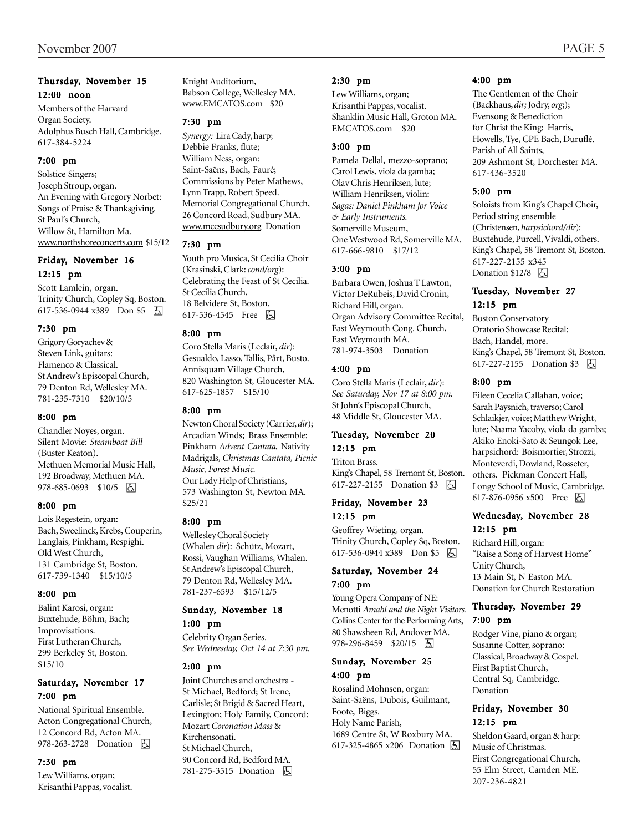#### Thursday, November 15 12:00 noon

Members of the Harvard Organ Society. Adolphus Busch Hall, Cambridge. 617-384-5224

#### 7:00 pm

Solstice Singers; Joseph Stroup, organ. An Evening with Gregory Norbet: Songs of Praise & Thanksgiving. St Paul's Church, Willow St, Hamilton Ma. www.northshoreconcerts.com\$15/12

#### Friday, November 16 12:15 pm

Scott Lamlein, organ. Trinity Church, Copley Sq, Boston. 617-536-0944 x389 Don \$5 h

#### 7:30 pm

Grigory Goryachev & Steven Link, guitars: Flamenco & Classical. St Andrew's Episcopal Church, 79 Denton Rd, Wellesley MA. 781-235-7310 \$20/10/5

#### 8:00 pm

Chandler Noyes, organ. Silent Movie: *Steamboat Bill* (Buster Keaton). Methuen Memorial Music Hall, 192 Broadway, Methuen MA. 978-685-0693 \$10/5 | 5

#### 8:00 pm

Lois Regestein, organ: Bach, Sweelinck, Krebs, Couperin, Langlais, Pinkham, Respighi. Old West Church, 131 Cambridge St, Boston. 617-739-1340 \$15/10/5

#### 8:00 pm

Balint Karosi, organ: Buxtehude, Böhm, Bach; Improvisations. First Lutheran Church, 299 Berkeley St, Boston. \$15/10

### Saturday, November 17 7:00 pm

National Spiritual Ensemble. Acton Congregational Church, 12 Concord Rd, Acton MA. 978-263-2728 Donation  $\Box$ 

#### 7:30 pm

Lew Williams, organ; Krisanthi Pappas, vocalist. Knight Auditorium, Babson College, Wellesley MA. www.EMCATOS.com \$20

#### 7:30 pm

*Synergy:* Lira Cady, harp; Debbie Franks, flute; William Ness, organ: Saint-Saëns, Bach, Fauré; Commissions by Peter Mathews, Lynn Trapp, Robert Speed. Memorial Congregational Church, 26 Concord Road, Sudbury MA. www.mccsudbury.org Donation

#### 7:30 pm

Youth pro Musica, St Cecilia Choir (Krasinski, Clark: *cond/org*): Celebrating the Feast of St Cecilia. St Cecilia Church, 18 Belvidere St, Boston. 617-536-4545 Free **b** 

#### 8:00 pm

Coro Stella Maris (Leclair, *dir*): Gesualdo, Lasso, Tallis, Pårt, Busto. Annisquam Village Church, 820 Washington St, Gloucester MA. 617-625-1857 \$15/10

#### 8:00 pm

Newton Choral Society (Carrier, *dir*); Arcadian Winds; Brass Ensemble: Pinkham *Advent Cantata,* Nativity Madrigals, *Christmas Cantata, Picnic Music, Forest Music.* Our Lady Help of Christians, 573 Washington St, Newton MA. \$25/21

#### 8:00 pm

Wellesley Choral Society (Whalen *dir*): Schütz, Mozart, Rossi, Vaughan Williams, Whalen. St Andrew's Episcopal Church, 79 Denton Rd, Wellesley MA. 781-237-6593 \$15/12/5

#### Sunday, November 18 1:00 pm

Celebrity Organ Series. *See Wednesday, Oct 14 at 7:30 pm.*

#### 2:00 pm

Joint Churches and orchestra - St Michael, Bedford; St Irene, Carlisle; St Brigid & Sacred Heart, Lexington; Holy Family, Concord: Mozart *Coronation Mass* & Kirchensonati. St Michael Church, 90 Concord Rd, Bedford MA. 781-275-3515 Donation **b** 

#### 2:30 pm

Lew Williams, organ; Krisanthi Pappas, vocalist. Shanklin Music Hall, Groton MA. EMCATOS.com \$20

#### 3:00 pm

Pamela Dellal, mezzo-soprano; Carol Lewis, viola da gamba; Olav Chris Henriksen, lute; William Henriksen, violin: *Sagas: Daniel Pinkham for Voice & Early Instruments.* Somerville Museum, One Westwood Rd, Somerville MA. 617-666-9810 \$17/12

#### 3:00 pm

Barbara Owen, Joshua T Lawton, Victor DeRubeis, David Cronin, Richard Hill, organ. Organ Advisory Committee Recital, East Weymouth Cong. Church, East Weymouth MA. 781-974-3503 Donation

#### 4:00 pm

Coro Stella Maris (Leclair, *dir*): *See Saturday, Nov 17 at 8:00 pm.* St John's Episcopal Church, 48 Middle St, Gloucester MA.

#### Tuesday, November 20

12:15 pm

Triton Brass. King's Chapel, 58 Tremont St, Boston. 617-227-2155 Donation \$3 因

#### Friday, November 23 12:15 pm

Geoffrey Wieting, organ. Trinity Church, Copley Sq, Boston. 617-536-0944 x389 Don \$5 因

#### Saturday, November 24 7:00 pm

Young Opera Company of NE: Menotti *Amahl and the Night Visitors.* Collins Center for the Performing Arts, 80 Shawsheen Rd, Andover MA. 978-296-8459 \$20/15 4

#### Sunday, November 25 4:00 pm

Rosalind Mohnsen, organ: Saint-Saëns, Dubois, Guilmant, Foote, Biggs. Holy Name Parish, 1689 Centre St, W Roxbury MA. 617-325-4865 x206 Donation **A** 

#### 4:00 pm

The Gentlemen of the Choir (Backhaus, *dir;* Jodry, *org*;); Evensong & Benediction for Christ the King: Harris, Howells, Tye, CPE Bach, Duruflé. Parish of All Saints, 209 Ashmont St, Dorchester MA. 617-436-3520

#### 5:00 pm

Soloists from King's Chapel Choir, Period string ensemble (Christensen, *harpsichord/dir*): Buxtehude, Purcell, Vivaldi, others. King's Chapel, 58 Tremont St, Boston. 617-227-2155 x345 Donation  $$12/8$   $\Box$ 

#### Tuesday, November 27 12:15 pm

Boston Conservatory Oratorio Showcase Recital: Bach, Handel, more. King's Chapel, 58 Tremont St, Boston. 617-227-2155 Donation \$3 **b** 

#### 8:00 pm

Eileen Cecelia Callahan, voice; Sarah Paysnich, traverso; Carol Schlaikjer, voice; Matthew Wright, lute; Naama Yacoby, viola da gamba; Akiko Enoki-Sato & Seungok Lee, harpsichord: Boismortier, Strozzi, Monteverdi, Dowland, Rosseter, others. Pickman Concert Hall, Longy School of Music, Cambridge. 617-876-0956 x500 Free  $\boxed{6}$ 

#### Wednesday, November 28 12:15 pm

Richard Hill, organ: "Raise a Song of Harvest Home" Unity Church, 13 Main St, N Easton MA. Donation for Church Restoration

#### Thursday, November 29 7:00 pm

Rodger Vine, piano & organ; Susanne Cotter, soprano: Classical, Broadway & Gospel. First Baptist Church, Central Sq, Cambridge. Donation

#### Friday, November 30 12:15 pm

Sheldon Gaard, organ & harp: Music of Christmas. First Congregational Church, 55 Elm Street, Camden ME. 207-236-4821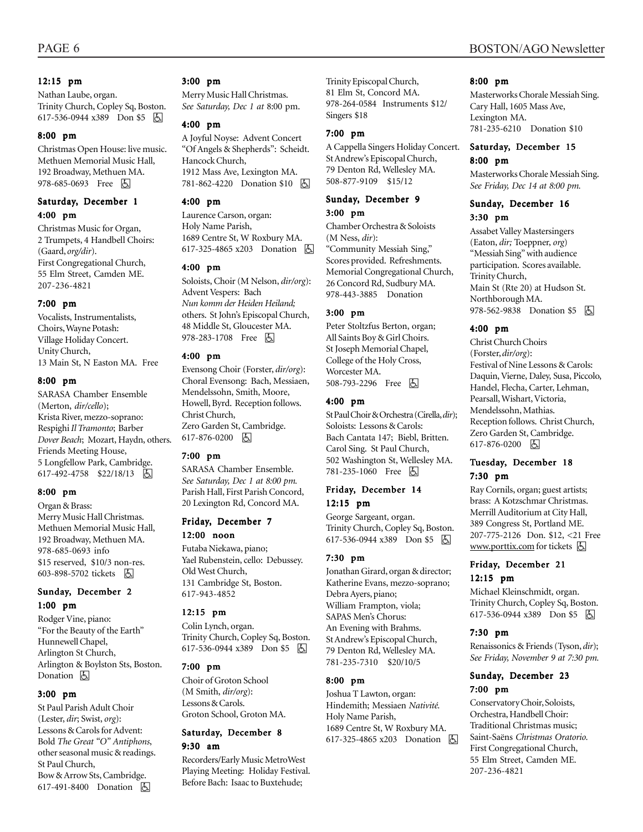#### 12:15 pm

Nathan Laube, organ. Trinity Church, Copley Sq, Boston. 617-536-0944 x389 Don \$5 因

#### 8:00 pm

Christmas Open House: live music. Methuen Memorial Music Hall, 192 Broadway, Methuen MA. 978-685-0693 Free 因

#### Saturday, December 1 4:00 pm

Christmas Music for Organ, 2 Trumpets, 4 Handbell Choirs: (Gaard, *org/dir*). First Congregational Church, 55 Elm Street, Camden ME. 207-236-4821

#### 7:00 pm

Vocalists, Instrumentalists, Choirs, Wayne Potash: Village Holiday Concert. Unity Church, 13 Main St, N Easton MA. Free

#### 8:00 pm

SARASA Chamber Ensemble (Merton, *dir/cello*); Krista River, mezzo-soprano: Respighi *Il Tramonto*; Barber *Dover Beach*; Mozart, Haydn, others. Friends Meeting House, 5 Longfellow Park, Cambridge. 617-492-4758 \$22/18/13 |5

#### 8:00 pm

Organ & Brass: Merry Music Hall Christmas. Methuen Memorial Music Hall, 192 Broadway, Methuen MA. 978-685-0693 info \$15 reserved, \$10/3 non-res. 603-898-5702 tickets **b** 

#### Sunday, December 2 1:00 pm

Rodger Vine, piano: "For the Beauty of the Earth" Hunnewell Chapel, Arlington St Church, Arlington & Boylston Sts, Boston. Donation  $\boxed{6}$ 

#### 3:00 pm

St Paul Parish Adult Choir (Lester, *dir*; Swist, *org*): Lessons & Carols for Advent: Bold *The Great "O" Antiphons*, other seasonal music & readings. St Paul Church, Bow & Arrow Sts, Cambridge. 617-491-8400 Donation **b** 

#### 3:00 pm

Merry Music Hall Christmas. *See Saturday, Dec 1 at* 8:00 pm.

#### 4:00 pm

A Joyful Noyse: Advent Concert "Of Angels & Shepherds": Scheidt. Hancock Church, 1912 Mass Ave, Lexington MA. 781-862-4220 Donation \$10 | A

#### 4:00 pm

Laurence Carson, organ: Holy Name Parish, 1689 Centre St, W Roxbury MA. 617-325-4865 x203 Donation h

#### 4:00 pm

Soloists, Choir (M Nelson, *dir/org*): Advent Vespers: Bach *Nun komm der Heiden Heiland;* others. St John's Episcopal Church, 48 Middle St, Gloucester MA. 978-283-1708 Free 因

#### 4:00 pm

Evensong Choir (Forster, *dir/org*): Choral Evensong: Bach, Messiaen, Mendelssohn, Smith, Moore, Howell, Byrd. Reception follows. Christ Church, Zero Garden St, Cambridge. 617-876-0200 | <a>

#### 7:00 pm

SARASA Chamber Ensemble. *See Saturday, Dec 1 at 8:00 pm.* Parish Hall, First Parish Concord, 20 Lexington Rd, Concord MA.

## Friday, December 7

12:00 noon

Futaba Niekawa, piano; Yael Rubenstein, cello: Debussey. Old West Church, 131 Cambridge St, Boston. 617-943-4852

#### 12:15 pm

Colin Lynch, organ. Trinity Church, Copley Sq, Boston. 617-536-0944 x389 Don \$5 因

#### 7:00 pm

Choir of Groton School (M Smith, *dir/org*): Lessons & Carols. Groton School, Groton MA.

#### Saturday, December 8 9:30 am

Recorders/Early Music MetroWest Playing Meeting: Holiday Festival. Before Bach: Isaac to Buxtehude;

Trinity Episcopal Church, 81 Elm St, Concord MA. 978-264-0584 Instruments \$12/ Singers \$18

#### 7:00 pm

A Cappella Singers Holiday Concert. St Andrew's Episcopal Church, 79 Denton Rd, Wellesley MA. 508-877-9109 \$15/12

#### Sunday, December 9 3:00 pm

Chamber Orchestra & Soloists (M Ness, *dir*): "Community Messiah Sing," Scores provided. Refreshments. Memorial Congregational Church, 26 Concord Rd, Sudbury MA. 978-443-3885 Donation

#### 3:00 pm

Peter Stoltzfus Berton, organ; All Saints Boy & Girl Choirs. St Joseph Memorial Chapel, College of the Holy Cross, Worcester MA. 508-793-2296 Free 因

#### 4:00 pm

St Paul Choir & Orchestra (Cirella, *dir*); Soloists: Lessons & Carols: Bach Cantata 147; Biebl, Britten. Carol Sing. St Paul Church, 502 Washington St, Wellesley MA. 781-235-1060 Free h

#### Friday, December 14 12:15 pm

George Sargeant, organ. Trinity Church, Copley Sq, Boston. 617-536-0944 x389 Don \$5 | A

#### 7:30 pm

Jonathan Girard, organ & director; Katherine Evans, mezzo-soprano; Debra Ayers, piano; William Frampton, viola; SAPAS Men's Chorus: An Evening with Brahms. St Andrew's Episcopal Church, 79 Denton Rd, Wellesley MA. 781-235-7310 \$20/10/5

#### 8:00 pm

Joshua T Lawton, organ: Hindemith; Messiaen *Nativité.* Holy Name Parish, 1689 Centre St, W Roxbury MA. 617-325-4865 x203 Donation **b** 

#### 8:00 pm

Masterworks Chorale Messiah Sing. Cary Hall, 1605 Mass Ave, Lexington MA. 781-235-6210 Donation \$10

#### Saturday, December 15 8:00 pm

Masterworks Chorale Messiah Sing. *See Friday, Dec 14 at 8:00 pm.*

#### Sunday, December 16 3:30 pm

Assabet Valley Mastersingers (Eaton, *dir;* Toeppner, *org*) "Messiah Sing" with audience participation. Scores available. Trinity Church, Main St (Rte 20) at Hudson St. Northborough MA. 978-562-9838 Donation \$5 | 4

#### 4:00 pm

Christ Church Choirs (Forster, *dir/org*): Festival of Nine Lessons & Carols: Daquin, Vierne, Daley, Susa, Piccolo, Handel, Flecha, Carter, Lehman, Pearsall, Wishart, Victoria, Mendelssohn, Mathias. Reception follows. Christ Church, Zero Garden St, Cambridge. 617-876-0200 因

#### Tuesday, December 18 7:30 pm

Ray Cornils, organ; guest artists; brass: A Kotzschmar Christmas. Merrill Auditorium at City Hall, 389 Congress St, Portland ME. 207-775-2126 Don. \$12, <21 Free www.porttix.com for tickets **b** 

#### Friday, December 21 12:15 pm

Michael Kleinschmidt, organ. Trinity Church, Copley Sq, Boston. 617-536-0944 x389 Don \$5 h

#### 7:30 pm

Renaissonics & Friends (Tyson, *dir*); *See Friday, November 9 at 7:30 pm.*

#### Sunday, December 23 7:00 pm

Conservatory Choir, Soloists, Orchestra, Handbell Choir: Traditional Christmas music; Saint-Saëns *Christmas Oratorio.* First Congregational Church, 55 Elm Street, Camden ME. 207-236-4821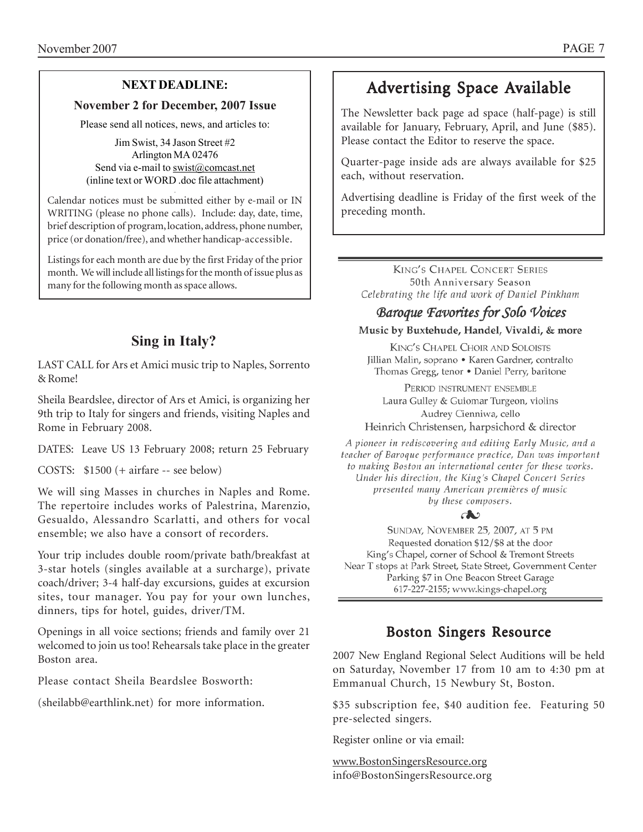## **NEXT DEADLINE:**

### **November 2 for December, 2007 Issue**

Please send all notices, news, and articles to:

Jim Swist, 34 Jason Street #2 Arlington MA 02476 Send via e-mail to swist@comcast.net (inline text or WORD .doc file attachment)

. Calendar notices must be submitted either by e-mail or IN WRITING (please no phone calls). Include: day, date, time, brief description of program, location, address, phone number, price (or donation/free), and whether handicap-accessible.

Listings for each month are due by the first Friday of the prior month. We will include all listings for the month of issue plus as many for the following month as space allows.

# **Sing in Italy?**

LAST CALL for Ars et Amici music trip to Naples, Sorrento & Rome!

Sheila Beardslee, director of Ars et Amici, is organizing her 9th trip to Italy for singers and friends, visiting Naples and Rome in February 2008.

DATES: Leave US 13 February 2008; return 25 February

COSTS: \$1500 (+ airfare -- see below)

We will sing Masses in churches in Naples and Rome. The repertoire includes works of Palestrina, Marenzio, Gesualdo, Alessandro Scarlatti, and others for vocal ensemble; we also have a consort of recorders.

Your trip includes double room/private bath/breakfast at 3-star hotels (singles available at a surcharge), private coach/driver; 3-4 half-day excursions, guides at excursion sites, tour manager. You pay for your own lunches, dinners, tips for hotel, guides, driver/TM.

Openings in all voice sections; friends and family over 21 welcomed to join us too! Rehearsals take place in the greater Boston area.

Please contact Sheila Beardslee Bosworth:

(sheilabb@earthlink.net) for more information.

# Advertising Space Available

The Newsletter back page ad space (half-page) is still available for January, February, April, and June (\$85). Please contact the Editor to reserve the space.

Quarter-page inside ads are always available for \$25 each, without reservation.

Advertising deadline is Friday of the first week of the preceding month.

KING'S CHAPEL CONCERT SERIES 50th Anniversary Season Celebrating the life and work of Daniel Pinkham

## **Baroque Favorites for Solo Voices**

#### Music by Buxtehude, Handel, Vivaldi, & more

**KING'S CHAPEL CHOIR AND SOLOISTS** Jillian Malin, soprano · Karen Gardner, contralto Thomas Gregg, tenor • Daniel Perry, baritone

PERIOD INSTRUMENT ENSEMBLE Laura Gulley & Guiomar Turgeon, violins Audrey Cienniwa, cello

Heinrich Christensen, harpsichord & director

A pioneer in rediscovering and editing Early Music, and a teacher of Baroque performance practice, Dan was important to making Boston an international center for these works. Under his direction, the King's Chapel Concert Series presented many American premières of music by these composers.

SUNDAY, NOVEMBER 25, 2007, AT 5 PM Requested donation \$12/\$8 at the door King's Chapel, corner of School & Tremont Streets Near T stops at Park Street, State Street, Government Center Parking \$7 in One Beacon Street Garage 617-227-2155; www.kings-chapel.org

# Boston Singers Resource

2007 New England Regional Select Auditions will be held on Saturday, November 17 from 10 am to 4:30 pm at Emmanual Church, 15 Newbury St, Boston.

\$35 subscription fee, \$40 audition fee. Featuring 50 pre-selected singers.

Register online or via email:

www.BostonSingersResource.org info@BostonSingersResource.org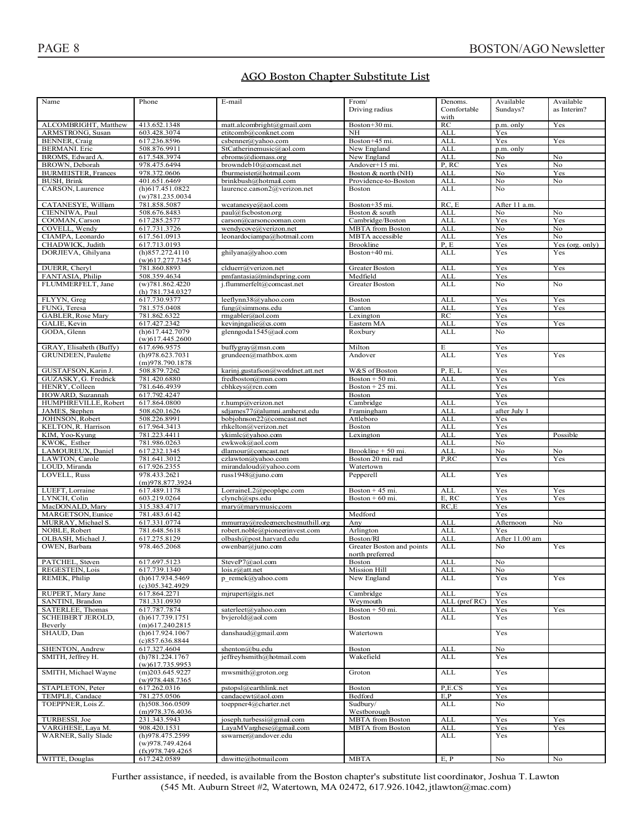## AGO Boston Chapter Substitute List

| Name                                | Phone                                    | E-mail                            | From/                     | Denoms.       | Available      | Available       |
|-------------------------------------|------------------------------------------|-----------------------------------|---------------------------|---------------|----------------|-----------------|
|                                     |                                          |                                   | Driving radius            | Comfortable   | Sundays?       | as Interim?     |
|                                     |                                          |                                   |                           | with          |                |                 |
| ALCOMBRIGHT, Matthew                | 413.652.1348                             | matt.alcombright@gmail.com        | Boston+30 mi.             | RC            | p.m. only      | Yes             |
| ARMSTRONG, Susan                    | 603.428.3074                             | etitcomb@conknet.com              | NH                        | ALL           | Yes            |                 |
| BENNER, Craig                       | 617.236.8596                             | csbenner@yahoo.com                | Boston+45 mi.             | ALL           | Yes            | Yes             |
| <b>BERMANI</b> . Eric               | 508.876.9911                             | StCatherinemusic@aol.com          | New England               | ALL           | p.m. only      |                 |
| BROMS, Edward A.                    | 617.548.3974                             | ebroms@diomass.org                | New England               | <b>ALL</b>    | No             | No              |
| BROWN, Deborah                      | 978.475.6494                             | browndeb10@comcast.net            |                           | P, RC         |                | No              |
|                                     |                                          |                                   | Andover+15 mi.            |               | Yes<br>No      |                 |
| <b>BURMEISTER, Frances</b>          | 978.372.0606                             | fburmeister@hotmail.com           | Boston & north (NH)       | <b>ALL</b>    |                | Yes             |
| BUSH, Brink                         | 401.651.6469                             | brinkbush@hotmail.com             | Providence-to-Boston      | <b>ALL</b>    | No             | No              |
| CARSON, Laurence                    | $(h)$ 617.451.0822                       | laurence.carson2@verizon.net      | <b>Boston</b>             | <b>ALL</b>    | No             |                 |
|                                     | (w)781.235.0034                          |                                   |                           |               |                |                 |
| CATANESYE, William                  | 781.858.5087                             | wcatanesye@aol.com                | Boston+35 mi.             | RC, E         | After 11 a.m.  |                 |
| CIENNIWA, Paul                      | 508.676.8483                             | paul@fscboston.org                | Boston & south            | <b>ALL</b>    | No             | No              |
| COOMAN, Carson                      | 617.285.2577                             | carson@carsoncooman.com           | Cambridge/Boston          | <b>ALL</b>    | Yes            | Yes             |
| COVELL, Wendy                       | 617.731.3726                             | wendycove@verizon.net             | <b>MBTA</b> from Boston   | <b>ALL</b>    | No             | No              |
| CIAMPA, Leonardo                    | 617.561.0913                             | leonardociampa@hotmail.com        | <b>MBTA</b> accessible    | <b>ALL</b>    | Yes            | No              |
| CHADWICK, Judith                    | 617.713.0193                             |                                   | <b>Brookline</b>          | P, E          | Yes            | Yes (org. only) |
| DORJIEVA, Ghilyana                  | (h)857.272.4110                          | ghilyana@yahoo.com                | Boston+40 mi.             | <b>ALL</b>    | Yes            | Yes             |
|                                     | $(w)$ 617.277.7345                       |                                   |                           |               |                |                 |
| DUERR, Cheryl                       | 781.860.8893                             | clduerr@verizon.net               | <b>Greater Boston</b>     | <b>ALL</b>    | Yes            | Yes             |
| FANTASIA, Philip                    | 508.359.4634                             | pmfantasia@mindspring.com         | Medfield                  | ALL           | Yes            |                 |
| FLUMMERFELT, Jane                   | (w)781.862.4220                          | j.flummerfelt@comcast.net         | <b>Greater Boston</b>     | ALL           | No             | No              |
|                                     | (h) 781.734.0327                         |                                   |                           |               |                |                 |
| FLYYN, Greg                         | 617.730.9377                             | leeflynn38@yahoo.com              | Boston                    | ALL           | Yes            | Yes             |
| FUNG, Teresa                        | 781.575.0408                             | fung@simmons.edu                  | Canton                    | ALL           | Yes            | Yes             |
| GABLER, Rose Mary                   | 781.862.6322                             | rmgabler@aol.com                  | Lexington                 | RC            | Yes            |                 |
|                                     | 617.427.2342                             |                                   | Eastern MA                | <b>ALL</b>    | Yes            | Yes             |
| GALIE, Kevin                        |                                          | kevinjngalie@cs.com               |                           |               |                |                 |
| GODA, Glenn                         | (h)617.442.7079                          | glenngoda1545@aol.com             | Roxbury                   | ALL           | No             |                 |
|                                     | $(w)$ 617.445.2600                       |                                   |                           |               |                |                 |
| GRAY, Elisabeth (Buffy)             | 617.696.9575                             | buffygray@msn.com                 | Milton                    | E             | Yes            |                 |
| GRUNDEEN, Paulette                  | (h)978.623.7031                          | grundeen@mathbox.com              | Andover                   | <b>ALL</b>    | Yes            | Yes             |
|                                     | (m)978.790.1878                          |                                   |                           |               |                |                 |
| GUSTAFSON, Karin J.                 | 508.879.7262                             | karinj.gustafson@worldnet.att.net | W&S of Boston             | P, E, L       | Yes            |                 |
| GUZASKY, G. Fredrick                | 781.420.6880                             | fredboston@msn.com                | Boston + 50 mi.           | <b>ALL</b>    | Yes            | Yes             |
| HENRY, Colleen                      | 781.646.4939                             | cbhkeys@rcn.com                   | Boston + $25$ mi.         | <b>ALL</b>    | Yes            |                 |
| HOWARD, Suzannah                    | 617.792.4247                             |                                   | Boston                    |               | Yes            |                 |
| HUMPHREVILLE, Robert                | 617.864.0800                             | r.hump@verizon.net                | Cambridge                 | ALL           | Yes            |                 |
| JAMES, Stephen                      | 508.620.1626                             | sdjames77@alumni.amherst.edu      | Framingham                | ALL           | after July 1   |                 |
| JOHNSON, Robert                     | 508.226.8991                             | bobjohnson22@comcast.net          | Attleboro                 | <b>ALL</b>    | Yes            |                 |
| KELTON, R. Harrison                 |                                          | rhkelton@verizon.net              |                           |               |                |                 |
|                                     |                                          |                                   |                           |               |                |                 |
|                                     | 617.964.3413                             |                                   | Boston                    | ALL           | Yes            |                 |
| KIM, Yoo-Kyung                      | 781.223.4411                             | ykimlc@yahoo.com                  | Lexington                 | <b>ALL</b>    | Yes            | Possible        |
| KWOK, Esther                        | 781.986.0263                             | ewkwok@aol.com                    |                           | <b>ALL</b>    | No             |                 |
| LAMOUREUX, Daniel                   | 617.232.1345                             | dlamour@comcast.net               | Brookline + 50 mi.        | <b>ALL</b>    | No             | No              |
| LAWTON, Carole                      | 781.641.3012                             | czlawton@vahoo.com                | Boston 20 mi. rad         | P,RC          | Yes            | Yes             |
| LOUD, Miranda                       | 617.926.2355                             | mirandaloud@yahoo.com             | Watertown                 |               |                |                 |
| LOVELL, Russ                        | 978.433.2621                             | russ1948@juno.com                 | Pepperell                 | ALL           | Yes            |                 |
|                                     | (m)978.877.3924                          |                                   |                           |               |                |                 |
| LUEFT, Lorraine                     | 617.489.1178                             | LorraineL2@peoplepc.com           | Boston + $45$ mi.         | <b>ALL</b>    | Yes            | Yes             |
| LYNCH, Colin                        | 603.219.0264                             | clynch@sps.edu                    | Boston + $60$ mi.         | E, RC         | Yes            | Yes             |
| MacDONALD, Mary                     | 315.383.4717                             | mary@marymusic.com                |                           | RC.E          | Yes            |                 |
| MARGETSON, Eunice                   | 781.483.6142                             |                                   | Medford                   |               | Yes            |                 |
| MURRAY, Michael S.                  | 617.331.0774                             | mmurray@redeemerchestnuthill.org  | Any                       | <b>ALL</b>    | Afternoon      | No              |
| NOBLE, Robert                       | 781.648.5618                             | robert.noble@pioneerinvest.com    | Arlington                 | <b>ALL</b>    | Yes            |                 |
| OLBASH, Michael J.                  | 617.275.8129                             | olbash@post.harvard.edu           | Boston/RI                 | <b>ALL</b>    | After 11.00 am |                 |
| OWEN, Barbara                       | 978.465.2068                             | owenbar@juno.com                  | Greater Boston and points | <b>ALL</b>    | No             | Yes             |
|                                     |                                          |                                   | north preferred           |               |                |                 |
| PATCHEL, Steven                     | 617.697.5123                             | SteveP7@aol.com                   | Boston                    | <b>ALL</b>    | No             |                 |
| REGESTEIN, Lois                     | 617.739.1340                             | lois.r@att.net                    | Mission Hill              | ALL           | No             |                 |
| REMEK, Philip                       | (h)617.934.5469                          | p remek@yahoo.com                 | New England               | ALL           | Yes            | Yes             |
|                                     | $(c)$ 305.342.4929                       |                                   |                           |               |                |                 |
| RUPERT, Mary Jane                   | 617.864.2271                             | $m$ jrupert@gis.net               | Cambridge                 | <b>ALL</b>    | Yes            |                 |
| SANTINI, Brandon                    | 781.331.0930                             |                                   | Weymouth                  | ALL (pref RC) | Yes            |                 |
| SATERLEE, Thomas                    | 617.787.7874                             | saterleet@yahoo.com               | Boston + 50 mi.           | <b>ALL</b>    | Yes            | Yes             |
|                                     |                                          |                                   | Boston                    |               | Yes            |                 |
| <b>SCHEIBERT JEROLD,</b><br>Beverly | $(h)$ 617.739.1751<br>$(m)$ 617.240.2815 | bvjerold@aol.com                  |                           | ALL           |                |                 |
|                                     |                                          |                                   |                           |               |                |                 |
| SHAUD, Dan                          | $(h)$ 617.924.1067                       | danshaud@gmail.com                | Watertown                 |               | Yes            |                 |
|                                     | (c)857.636.8844                          |                                   |                           |               |                |                 |
| SHENTON, Andrew                     | 617.327.4604                             | shenton@bu.edu                    | Boston                    | ALL           | No             |                 |
| SMITH, Jeffrey H.                   | (h)781.224.1767                          | jeffreyhsmith@hotmail.com         | Wakefield                 | ALL           | Yes            |                 |
|                                     | $(w)$ 617.735.9953                       |                                   |                           |               |                |                 |
| SMITH, Michael Wayne                | $(m)$ 203.645.9227                       | mwsmith@groton.org                | Groton                    | <b>ALL</b>    | Yes            |                 |
|                                     | (w)978.448.7365                          |                                   |                           |               |                |                 |
| STAPLETON, Peter                    | 617.262.0316                             | pstopsl@earthlink.net             | Boston                    | P,E.CS        | Yes            |                 |
| TEMPLE, Candace                     | 781.275.0506                             | candacewt@aol.com                 | Bedford                   | E,P           | Yes            |                 |
| TOEPPNER, Lois Z.                   | $(h)$ 508.366.0509                       | toeppner4@charter.net             | Sudbury/                  | ALL           | No             |                 |
|                                     | (m)978.376.4036                          |                                   | Westborough               |               |                |                 |
| TURBESSI, Joe                       | 231.343.5943                             | joseph.turbessi@gmail.com         | <b>MBTA</b> from Boston   | <b>ALL</b>    | Yes            | Yes             |
| VARGHESE, Laya M.                   | 908.420.1531                             | LayaMVarghese@gmail.com           | <b>MBTA</b> from Boston   | <b>ALL</b>    | Yes            | Yes             |
| WARNER, Sally Slade                 | (h)978.475.2599                          | sswarner@andover.edu              |                           | ALL           | Yes            |                 |
|                                     | (w)978.749.4264                          |                                   |                           |               |                |                 |
| WITTE, Douglas                      | (fx)978.749.4265<br>617.242.0589         | dnwitte@hotmail.com               | <b>MBTA</b>               | E, P          | No.            | No              |

Further assistance, if needed, is available from the Boston chapter's substitute list coordinator, Joshua T. Lawton (545 Mt. Auburn Street #2, Watertown, MA 02472, 617.926.1042, jtlawton@mac.com)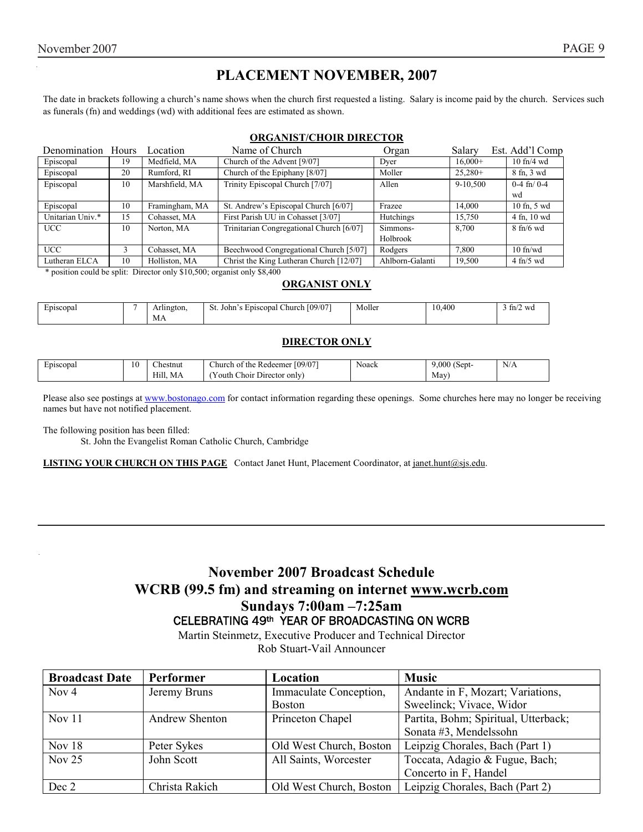# **PLACEMENT NOVEMBER, 2007**

The date in brackets following a church's name shows when the church first requested a listing. Salary is income paid by the church. Services such as funerals (fn) and weddings (wd) with additional fees are estimated as shown.

#### **ORGANIST/CHOIR DIRECTOR**

| Denomination Hours |    | Location       | Name of Church                           | Organ           | Salary    | Est. Add'l Comp       |
|--------------------|----|----------------|------------------------------------------|-----------------|-----------|-----------------------|
| Episcopal          | 19 | Medfield, MA   | Church of the Advent [9/07]              | Dver            | $16,000+$ | $10 \text{ ft}$ /4 wd |
| Episcopal          | 20 | Rumford, RI    | Church of the Epiphany [8/07]            | Moller          | $25.280+$ | 8 fn, 3 wd            |
| Episcopal          | 10 | Marshfield, MA | Trinity Episcopal Church [7/07]          | Allen           | 9-10,500  | $0-4$ fn/ $0-4$       |
|                    |    |                |                                          |                 |           | wd                    |
| Episcopal          | 10 | Framingham, MA | St. Andrew's Episcopal Church [6/07]     | Frazee          | 14.000    | 10 fn, 5 wd           |
| Unitarian Univ.*   | 15 | Cohasset, MA   | First Parish UU in Cohasset [3/07]       | Hutchings       | 15.750    | 4 fn, 10 wd           |
| <b>UCC</b>         | 10 | Norton, MA     | Trinitarian Congregational Church [6/07] | Simmons-        | 8.700     | $8 \text{ fh/6 wd}$   |
|                    |    |                |                                          | Holbrook        |           |                       |
| <b>UCC</b>         |    | Cohasset. MA   | Beechwood Congregational Church [5/07]   | Rodgers         | 7.800     | $10$ fn/wd            |
| Lutheran ELCA      | 10 | Holliston, MA  | Christ the King Lutheran Church [12/07]  | Ahlborn-Galanti | 19.500    | $4$ fn/5 wd           |

\* position could be split: Director only \$10,500; organist only \$8,400

#### **ORGANIST ONLY**

| Episcopal | lington.<br>$\mathbf{u}$ | Church [09/07]<br>Episcopal<br>John<br>οı | . .<br>Moller<br>-------- | 10,400 | tm/<br>wa |
|-----------|--------------------------|-------------------------------------------|---------------------------|--------|-----------|
|           | МA                       |                                           |                           |        |           |

#### **DIRECTOR ONLY**

| Episcopal | 10 | $\sim$<br>∠hestnut | [09/07]<br><b>Service</b><br>:hurch of the<br>. Redeemer | Noack | $\sim$<br>$\sim$<br>000<br>. Sept-<br>. . | N/A |
|-----------|----|--------------------|----------------------------------------------------------|-------|-------------------------------------------|-----|
|           |    | Hıll.<br>МA        | $\sim$<br>~<br>Director only<br>hoir.<br>'outh           |       | May'                                      |     |

Please also see postings at www.bostonago.com for contact information regarding these openings. Some churches here may no longer be receiving names but have not notified placement.

The following position has been filled:

St. John the Evangelist Roman Catholic Church, Cambridge

**LISTING YOUR CHURCH ON THIS PAGE** Contact Janet Hunt, Placement Coordinator, at janet.hunt@sjs.edu.

## **November 2007 Broadcast Schedule WCRB (99.5 fm) and streaming on internet www.wcrb.com Sundays 7:00am –7:25am**  CELEBRATING 49th YEAR OF BROADCASTING ON WCRB

Martin Steinmetz, Executive Producer and Technical Director Rob Stuart-Vail Announcer

| <b>Broadcast Date</b> | Performer      | Location                | <b>Music</b>                         |
|-----------------------|----------------|-------------------------|--------------------------------------|
| Nov <sub>4</sub>      | Jeremy Bruns   | Immaculate Conception,  | Andante in F, Mozart; Variations,    |
|                       |                | <b>Boston</b>           | Sweelinck; Vivace, Widor             |
| Nov $11$              | Andrew Shenton | Princeton Chapel        | Partita, Bohm; Spiritual, Utterback; |
|                       |                |                         | Sonata #3, Mendelssohn               |
| Nov 18                | Peter Sykes    | Old West Church, Boston | Leipzig Chorales, Bach (Part 1)      |
| Nov $25$              | John Scott     | All Saints, Worcester   | Toccata, Adagio & Fugue, Bach;       |
|                       |                |                         | Concerto in F, Handel                |
| Dec 2                 | Christa Rakich | Old West Church, Boston | Leipzig Chorales, Bach (Part 2)      |